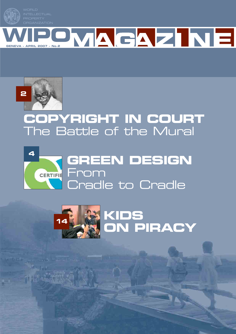



# **COPYRIGHT IN COURT** The Battle of the Mural



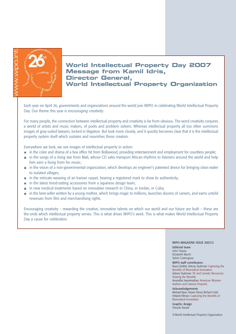

### **World Intellectual Property Day 2007 Message from Kamil Idris, Director General, World Intellectual Property Organization**

Each year on April 26, governments and organizations around the world join WIPO in celebrating World Intellectual Property Day. Our theme this year is *encouraging creativity*.

For many people, the connection between intellectual property and creativity is far from obvious. The word creativity conjures a world of artists and music makers, of poets and problem solvers. Whereas intellectual property all too often summons images of gray-suited lawyers, locked in litigation. But look more closely, and it quickly becomes clear that it is the intellectual property system itself which sustains and nourishes those creators.

Everywhere we look, we see images of intellectual property in action:

- in the color and drama of a box office hit from Bollywood, providing entertainment and employment for countless people;
- in the songs of a rising star from Mali, whose CD sales transport African rhythms to listeners around the world and help him earn a living from his music;
- $\blacksquare$  in the vision of a non-governmental organization, which develops an engineer's patented device for bringing clean water to isolated villages;
- $\blacksquare$  in the intricate weaving of an Iranian carpet, bearing a registered mark to show its authenticity;
- **n** in the latest trend-setting accessories from a Japanese design team;
- **in** in new medical treatments based on innovative research in China, in Jordan, in Cuba;
- in the best-seller written by a young mother, which brings magic to millions, launches dozens of careers, and earns untold revenues from film and merchandising rights.

Encouraging creativity – rewarding the creative, innovative talents on which our world and our future are built – these are the ends which intellectual property serves. This is what drives WIPO's work. This is what makes World Intellectual Property Day a cause for celebration.

#### WIPO MAGAZINE ISSUE 2007/2

Editorial team John Tarpey Elizabeth March Sylvie Castonguay

WIPO staff contributors Roya Ghafele, Antony Taubman: Capturing the Benefits of Biomedical Innovation Antony Taubman: TK and Genetic Resources: Sharing the Benefits Anuradha Swaminathan: American Women Authors and Literary Property

Acknowledgements Michael Ryan, Hanan Sboul, Richard Gold, Helianti Hilman: Capturing the Benefits of Biomedical Innovation

Graphic design Sheyda Navab

©World Intellectual Property Organization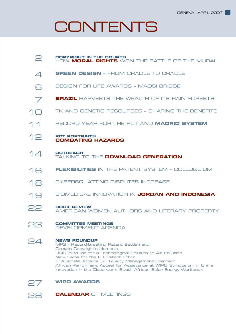# **CONTENTS**



**CALENDAR** OF MEETINGS **28**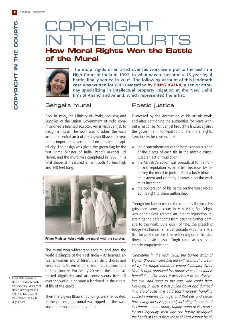**COPYRIGHT IN THE COURTS**

COPYRIGHT IN THE COURTS

## COPYRIGHT IN THE COURTS **How Moral Rights Won the Battle of the Mural**



The moral rights of an artist over his work were put to the test in a High Court of India in 1992, in what was to become a 13-year legal battle, finally settled in 2005. The following account of this landmark case was written for WIPO Magazine by BINNY KALRA, a senior attorney specializing in intellectual property litigation at the New Delhi firm of Anand and Anand, which represented the artist.

#### Sehgal's mural

Back in 1959, the Ministry of Works, Housing and Supplies of the Union Government of India commissioned a talented sculptor, Amar Nath Sehgal, to design a mural. The work was to adorn the walls around a central arch of the Vigyan Bhawan, a venue for important government functions in the capital city. The design was given the green flag by the first Prime Minster of India, Pandit Jawahar Lal Nehru, and the mural was completed in 1962. In its final shape, it measured a mammoth 40 feet high and 140 feet long.



**Prime Minister Nehru visits the mural with the sculptor.**

The mural won widespread acclaim, and gave the world a glimpse of the 'real' India – its farmers, artisans, women and children, their daily chores and celebrations, frozen in time, and molded from tons of solid bronze. For nearly 20 years the mural attracted dignitaries and art connoisseurs from all over the world. It became a landmark in the cultural life of the capital.

1. Amar Nath Sehgal vs Union of India through the Secretary, Ministry of Urban Development & Anr: Suit No. 2074 of 1992 before the Delhi High Court.

Then the Vigyan Bhawan buildings were renovated. In the process, the mural was ripped off the walls and the remnants put into store.

#### Poetic justice

Distressed by the destruction of his artistic work, and after petitioning the authorities for years without a response, Mr. Sehgal brought a lawsuit against the government<sup>1</sup> for violation of his moral rights. Specifically, he claimed that:

- $\blacksquare$  the dismemberment of the homogeneous blend of the pieces of each tile in the mosaic constituted an act of mutilation;
- the Ministry's action was prejudicial to his honm. or and reputation as an artist, because, by reducing the mural to junk, it dealt a body blow to the esteem and celebrity bestowed on the work at its inception;
- $\blacksquare$  the obliteration of his name on the work violated his right to claim authorship.

Though too late to rescue the mural by the time his grievance came to court in May 1992, Mr. Sehgal was nonetheless granted an interim injunction restraining the defendants from causing further damage to the work. By a quirk of fate, the presiding Judge was himself an art aficionado with, literally, a flair for poetic justice. The restraining order handed down by Justice Jaspal Singh came across as an acutely empathetic one:

*"Sometime in the year 1962, the barren walls of Vigyan Bhawan were blessed with a mural…created by the magic hands of eminent sculptor Amar Nath Sehgal, approved by connoisseurs of all that is beautiful … For years, it was dance to the discerning eye, and song to the ears who could hear. However, in 1979, it was pulled down and dumped in a storehouse. It is said that improper handling caused immense damage, and that bits and pieces have altogether disappeared, including the name of its creator… In a country rightly proud of its creativity and ingenuity, men who can hardly distinguish the heads of Venus from those of Mars cannot be al-*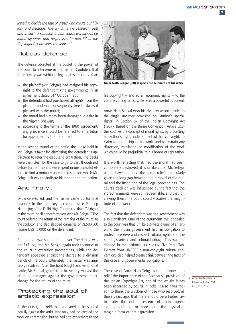**3**

*lowed to decide the fate of artists who create our history and heritage. The cry is:* Ils ne passeront pas! *and in such a situation Indian courts will always be found dynamic and responsive. Section 57 of the Copyright Act provides the light…"*

#### Robust defense

The defense objected at the outset to the power of the court to intervene in the matter. Confident that the ministry was within its legal rights, it argued that:

- $\blacksquare$  the plaintiff (Mr. Sehgal) had assigned his copyright to the defendant (the government) in an agreement dated 31st October 1960;
- $\blacksquare$  the defendant had purchased all rights from the plaintiff, and was consequently free to do as it pleased with the mural;
- the mural had already been damaged in a fire in  $\overline{\phantom{a}}$ the Vigyan Bhawan;
- according to the terms of the 1960 agreement, any grievance should be referred to an arbitrator appointed by the defendant.

In the second round of the battle, the Judge held in Mr. Sehgal's favor by dismissing the defendant's application to refer the dispute to arbitration. The decks were then clear for the case to go to trial, though not before further months were spent in unsuccessful efforts to find a mutually acceptable solution which Mr. Sehgal felt would vindicate his honor and reputation.

#### And finally…

Evidence was led, and the matter came up for final hearing.<sup>2</sup> In the third key decision, Justice Pradeep Nandrajog of the Delhi High Court ruled that: "All rights of the mural shall henceforth vest with Mr. Sehgal." The court ordered the return of the remains of the mural to the sculptor, and also slapped damages of Rs.500,000 (some US\$ 12,000) on the defendant.

But the fight was still not quite over. The decree was not fulfilled, and Mr. Sehgal again took recourse to the court in execution proceedings, while the defendant appealed against the decree to a division bench of the court. Ultimately, the matter was amicably resolved. After the hard fought and emotional battle, Mr. Sehgal, grateful for his victory, waived the claim of damages against the government in exchange for the return of the mural.

#### Protecting the soul of artistic expression

At the outset, the odds had appeared to be stacked heavily against the artist. Not only had he created the work on commission, but he had also explicitly assigned



**Amar Nath Sehgal (left) inspects the remnants of his work.**

his copyright – and so all economic rights – to the commissioning ministry. He faced a powerful opponent.

Amar Nath Sehgal won his civil law action thanks to the single statutory provision on "author's special rights" in Section 57 of the Indian Copyright Act (1957). Based on the Berne Convention Article 6*bis*, this codifies the concept of moral rights, by protecting an author's right, independent of his copyright, to claim to authorship of his work, and to restrain any distortion, mutilation or modification of the work which could be prejudicial to his honor or reputation.

It is worth reflecting that, had the mural had been completely destroyed, it is unlikely that Mr. Sehgal would have obtained the same relief, particularly given the long gap between the removal of the mural and the institution of the legal proceedings. The court's decision was influenced by the fact that the stored remnants were still redeemable, and that, on viewing them, the court could visualize the magnitude of the work.

The fact that the defendant was the government was also significant. One of the arguments that appealed to the court was that, unlike a private owner of an artwork, the Indian government had an obligation to protect, preserve and respect cultural rights and the country's artistic and cultural heritage. This was enshrined in the national 2002–2007 Five Year Plan. Extracts from UNESCO's non-copyright cultural conventions also helped create a link between the facts of this case and governmental obligations.

The case of Amar Nath Sehgal's mural throws into relief the importance of the Section 57 provision of the Indian Copyright Act, and of the weight it has been accorded by courts in India. It also gives reason to thank the wisdom of those who resolved, all those years ago, that there should be a higher law to protect the soul and essence of artistic expression as much as – or more than – the physical or tangible form of that expression.

2. Amar Nath Sehgal vs Union of India [2005 (30) PTC 253].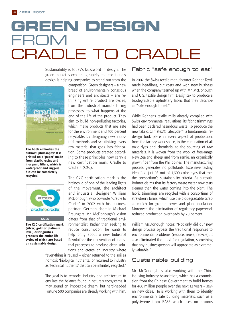# **GREEN DESIGN**  FROM CRADLE

Sustainability is today's buzzword in design. The green market is expanding rapidly and eco-friendly design is helping companies to stand out from the



**The book embodies the authors' philosophy: It is printed on a 'paper' made from plastic resins and inorganic fillers, which is waterproof and rugged, but can be completely recycled.**



**The C2C certification mark (silver, gold or platinum level) distinguishes products the entire life cycles of which are based on sustainable design.**

competition. Green designers – a new breed of environmentally conscious engineers and architects – are rethinking entire product life cycles, from the industrial manufacturing processes, to what happens at the end of the life of the product. They aim to build non-polluting factories, which make products that are safe for the environment and 100 percent recyclable, by designing new industrial methods and scrutinizing every raw material that goes into fabrication. Some products created according to these principles now carry a new certification mark: Cradle to Cradle™ (C2C).

The C2C certification mark is the brainchild of one of the leading lights of the movement, the architect and industrial designer William McDonough, who co-wrote "Cradle to Cradle" in 2002 with his business partner, German chemist Michael Braungart. Mr. McDonough's vision differs from that of traditional environmentalist. Rather than seeking to reduce consumption, he wants to help bring about a new Industrial Revolution: the reinvention of industrial processes to produce clean solutions and create an industry where

"everything is reused – either returned to the soil as nontoxic 'biological nutrients,' or returned to industry as 'technical nutrients' that can be infinitely recycled."

The goal is to remodel industry and architecture to emulate the balance found in nature's ecosystems. It may sound an impossible dream, but hard-headed Fortune 500 companies are already working with him.

#### Fabric "safe enough to eat"

In 2002 the Swiss textile manufacturer Rohner Textil made headlines, cut costs and won new business when the company teamed up with Mr. McDonough and U.S. textile design firm Designtex to produce a biodegradable upholstery fabric that they describe as "safe enough to eat."

While Rohner's textile mills already complied with Swiss environmental regulations, its fabric trimmings had been declared hazardous waste. To produce the new fabric, Climatex® Lifecycle™, a fundamental redesign took place in every aspect of production, from the factory work space, to the elimination of all toxic dyes and chemicals, to the sourcing of raw materials. It is woven from the wool of free-range New Zealand sheep and from ramie, an organically grown fiber from the Philippines. The manufacturing process generates no pollutants. Extensive testing identified just 16 out of 1,600 color dyes that met the consortium's sustainability criteria. As a result, Rohner claims that its factory waste water now tests cleaner than the water coming into the plant. The fabric trimmings are recycled with a consortium of strawberry farms, which use the biodegradable scrap as mulch for ground cover and plant insulation. Moreover, the elimination of regulatory paperwork reduced production overheads by 20 percent.

William McDonough notes: "Not only did our new design process bypass the traditional responses to environmental problems (reduce, reuse, recycle), it also eliminated the need for regulation, something that any businessperson will appreciate as extremely valuable."

#### Sustainable building

Mr. McDonough is also working with the China Housing Industry Association, which has a commission from the Chinese Government to build homes for 400 million people over the next 12 years – seven new cities. He is working with them to identify environmentally safe building materials, such as a polystyrene from BASF which uses no noxious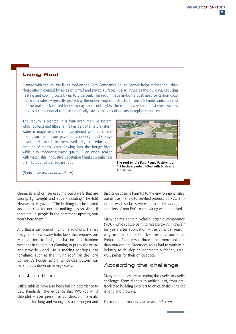#### **Living Roof**

Planted with sedum, the living roof on the Ford Company's Rouge Factory helps reduce the urban "heat effect" created by acres of tarred and paved surfaces. It also insulates the building, reducing heating and cooling costs by up to 5 percent. The sedum traps air-borne dust, absorbs carbon dioxide, and creates oxygen. By protecting the under-lying roof structure from ultraviolet radiation and the thermal shock caused by warm days and cool nights, the roof is expected to last over twice as long as a conventional roof, so potentially saving millions of dollars in replacement costs.

The sedum is planted in a four-layer, mat-like system, which collects and filters rainfall as part of a natural storm water management system. Combined with other elements, such as porous pavements, underground storage basins and natural treatment wetlands, this reduces the amount of storm water flowing into the Rouge River, while also improving water quality. Even when soaked with water, this innovative vegetation blanket weighs less than 15 pounds per square foot.



**The roof on the Ford Rouge Factory is a 4.2 hectare garden, filled with birds and butterflies.**

(Source: *www.thehenryford.org*)

chemicals and can be used "to build walls that are strong, lightweight and super-insulating," he told Newsweek Magazine. "The building can be heated and kept cool for next to nothing. It's so silent, if there are 13 people in the apartment upstairs, you won't hear them."

And that is just one of his home solutions. He has designed a new luxury toilet bowl that requires only a light mist to flush, and has included bamboo wetlands in the project planning to purify the waste and provide wood. He is making rooftops into farmland, such as the "living roof" on the Ford Company's Rouge Factory, which cleans storm water and cuts down on energy costs.

#### In the office

Office cubicles have also been built in accordance to C2C standards. The evidence that PVC (polyvinyl chloride) – ever present in construction materials, furniture finishing and wiring – is a carcinogen and that its disposal is harmful to the environment, ruled out its use in any C2C certified product. So PVC laminated work surfaces were replaced by wood, and suppliers of non-PVC-coated wiring were identified.

Many paints contain volatile organic compounds (VOC), which cause paint to release toxins in the air for years after application – the principal reason why indoor air tested by the Environmental Protection Agency was three times more polluted than outdoor air. Green designers had to work with industry to develop environmentally friendly zero-VOC paints for their office space.

#### Accepting the challenge

Many companies are accepting the cradle to cradle challenge. From diapers to artificial turf, from prefabricated building exteriors to office chairs – the list is long and growing.

For more information, visit *www.mbdc.com*.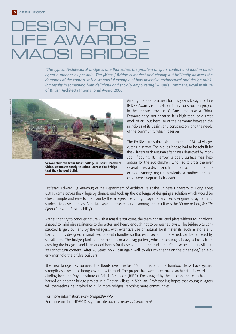# DESIGN FOR LIFE AWARDS – MAOSI BRIDGE

*"The typical Architectural bridge is one that solves the problem of span, context and load in as elegant a manner as possible. The [Maosi] Bridge is modest and chunky but brilliantly answers the demands of the context. It is a wonderful example of how inventive architectural and design thinking results in something both delightful and socially empowering."* – Jury's Comment, Royal Institute of British Architects International Award 2006



**School children from Maosi village in Gansu Province, China, commute safely to school across the bridge that they helped build.**

Among the top nominees for this year's Design for Life INDEX Awards is an extraordinary construction project in the remote province of Gansu, north-west China. Extraordinary, not because it is high tech, or a great work of art, but because of the harmony between the principles of its design and construction, and the needs of the community which it serves.

The Po River runs through the middle of Maosi village, cutting it in two. The old log bridge had to be rebuilt by the villagers each autumn after it was destroyed by monsoon flooding. Its narrow, slippery surface was hazardous for the 200 children, who had to cross the river several times a day to and from their school on the other side. Among regular accidents, a mother and her child were swept to their deaths.

Professor Edward Ng Yan-ynug of the Department of Architecture at the Chinese University of Hong Kong CUHK came across the village by chance, and took up the challenge of designing a solution which would be cheap, simple and easy to maintain by the villagers. He brought together architects, engineers, laymen and students to develop ideas. After two years of research and planning, the result was the 80-metre long *Wu Zhi Qiao* (Bridge of Sustainability).

Rather than try to conquer nature with a massive structure, the team constructed piers without foundations, shaped to minimize resistance to the water and heavy enough not to be washed away. The bridge was constructed largely by hand by the villagers, with extensive use of natural, local materials, such as stone and bamboo. It is designed in small sections with handles so that each section, if detached, can be replaced by six villagers. The bridge planks on the piers form a zig-zag pattern, which discourages heavy vehicles from crossing the bridge – and is an added bonus for those who hold the traditional Chinese belief that evil spirits cannot turn corners. "After 20 years, now I can again walk to visit my friends on the other side," an elderly man told the bridge builders.

The new bridge has survived the floods over the last 15 months, and the bamboo decks have gained strength as a result of being covered with mud. The project has won three major architectural awards, including from the Royal Institute of British Architects (RIBA). Encouraged by the success, the team has embarked on another bridge project in a Tibetan village in Sichuan. Professor Ng hopes that young villagers will themselves be inspired to build more bridges, reaching more communities.

For more information: *www.bridge2far.info.*  For more on the INDEX Design for Life awards: *www.indexaward.dk*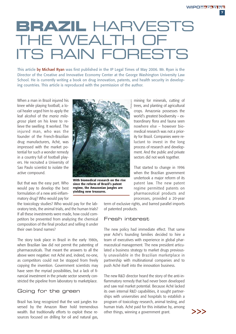**7**

# **BRAZIL** HARVESTS THE WEALTH OF ITS RAIN FORESTS

This article by Michael Ryan was first published in the IP Legal Times of May 2006. Mr. Ryan is the Director of the Creative and Innovative Economy Center at the George Washington University Law School. He is currently writing a book on drug innovation, patents, and health security in developing countries. This article is reproduced with the permission of the author.

When a man in Brazil injured his knee while playing football, a local healer urged him to apply the leaf alcohol of the *maria milagrosa* plant on his knee to relieve the swelling. It worked. The injured man, who was the founder of the French-Brazilian drug manufacturers, Aché, was impressed with the market potential for such a wonder remedy in a country full of football players. He recruited a University of Sao Paulo scientist to isolate the active compound.

But that was the easy part. Who would pay to develop the best formulation of a new anti-inflammatory drug? Who would pay for

the toxicology studies? Who would pay for the laboratory tests, the animal trials, and the human trials? If all these investments were made, how could competitors be prevented from analyzing the chemical composition of the final product and selling it under their own brand names?

The story took place in Brazil in the early 1980s, when Brazilian law did not permit the patenting of pharmaceuticals. That meant the answers to all the above were negative: not Aché and, indeed, no-one, as competitors could not be stopped from freely copying the invention. Government scientists may have seen the myriad possibilities, but a lack of financial investment in the private sector severely constricted the pipeline from laboratory to marketplace.

#### Going for the green

Brazil has long recognized that the vast jungles traversed by the Amazon River hold tremendous wealth. But traditionally efforts to exploit these resources focused on drilling for oil and natural gas,



**With biomedical research on the rise since the reform of Brazil's patent regime, the Amazonian jungles are yielding new treasures.**

mining for minerals, cutting of trees, and planting of agricultural crops. Amazonia possesses the world's greatest biodiversity – extraordinary flora and fauna seen nowhere else – however biomedical research was not a priority for Brazil. Companies were reluctant to invest in the long process of research and development. And the public and private sectors did not work together.

That started to change in 1996 when the Brazilian government undertook a major reform of its patent law. The new patent regime permitted patents on pharmaceutical products and processes, provided a 20-year

term of exclusive rights, and barred parallel imports of patented products.

#### Fresh interest

The new policy had immediate effect. That same year Aché's founding families decided to hire a team of executives with experience in global pharmaceutical management. The new president articulated a business strategy to market drugs previously unavailable in the Brazilian marketplace in partnership with multinational companies and to push Aché itself into the innovation business.

The new R&D director heard the story of the anti-inflammatory remedy that had never been developed and saw real market potential. Because Aché lacked its own internal R&D capabilities, it sought partnerships with universities and hospitals to establish a program of toxicology research, animal testing, and human trials. Aché paid for this initiative by, among other things, winning a government grant.

>>>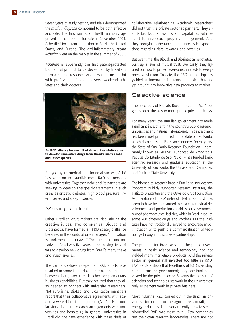Seven years of study, testing, and trials demonstrated the *maria milagrosa* compound to be both effective and safe. The Brazilian public health authority approved the compound for sale in November 2004. Aché filed for patent protection in Brazil, the United States, and Europe. The anti-inflammatory cream *Achéflan* went on the market in the summer of 2005.

*Achéflan* is apparently the first patent-protected biomedical product to be developed by Brazilians from a natural resource. And it was an instant hit with professional football players, weekend athletes and their doctors.



**An R&D alliance between BioLab and Biosintetica aims to develop innovative drugs from Brazil's many snake and insect species.**

Buoyed by its medical and financial success, Aché has gone on to establish more R&D partnerships with universities. Together Aché and its partners are seeking to develop therapeutic treatments in such areas as anxiety, diabetes, high blood pressure, liver disease, and sleep disorder.

#### Making a deal

Other Brazilian drug makers are also stirring the creative juices. Two companies, BioLab and Biosintetica, have formed an R&D strategic alliance because, in the words of one manager, "innovation is fundamental to survival." Their first-of-its-kind initiative in Brazil was five years in the making. Its goal was to develop new drugs from Brazil's many snake and insect species.

The partners, whose independent R&D efforts have resulted in some three dozen international patents between them, saw in each other complementary business capabilities. But they realized that they also needed to connect with university researchers. Not surprising, BioLab and Biosintetica managers report that their collaborative agreements with academia were difficult to negotiate. (Aché tells a similar story about its research arrangements with universities and hospitals.) In general, universities in Brazil did not have experience with these kinds of collaborative relationships. Academic researchers did not trust the private sector as partners. They also lacked both know-how and capabilities with respect to intellectual property management. And they brought to the table some unrealistic expectations regarding risks, rewards, and royalties.

But over time, the BioLab and Biosintetica negotiators built up a level of mutual trust. Eventually, they figured out how to protect everyone's interests to everyone's satisfaction. To date, the R&D partnership has yielded 11 international patents, although it has not yet brought any innovative new products to market.

#### Selective science

The successes of BioLab, Biosintetica, and Aché begin to point the way to more public-private pairings.

For many years, the Brazilian government has made significant investment in the country's public research universities and national laboratories. This investment has been most pronounced in the State of Sao Paulo, which dominates the Brazilian economy. For 50 years, the State of Sao Paulo Research Foundation – commonly known as FAPESP (Fundacao de Amparao a Pequisa do Estado de Sao Paulo) – has funded basic scientific research and graduate education at the University of Sao Paulo, the University of Campinas, and Paulista State University.

The biomedical research base in Brazil also includes two important publicly supported research institutes, the Instituto Bhutantan and the Oswaldo Cruz Foundation. As operations of the Ministry of Health, both institutes seem to have been organized to create biomedical development and production capability for governmentowned pharmaceutical facilities, which in Brazil produce some 200 different drugs and vaccines. But the institutes have not traditionally served to encourage much innovation or to push the commercialization of technology through public-private partnerships.

The problem for Brazil was that the public investments in basic science and technology had not yielded many marketable products. And the private sector in general still invested too little in R&D. FAPESP data show that two-thirds of R&D spending comes from the government; only one-third is invested by the private sector. Seventy-five percent of scientists and technologists work in the universities; only 18 percent work in private business.

Most industrial R&D carried out in the Brazilian private sector occurs in the agriculture, aircraft, and energy industries. Until very recently, private-sector biomedical R&D was close to nil. Few companies run their own research laboratories. There are not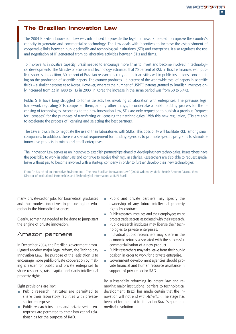**9**

#### **The Brazilian Innovation Law**

The 2004 Brazilian Innovation Law was introduced to provide the legal framework needed to improve the country's capacity to generate and commercialize technology. The Law deals with incentives to increase the establishment of cooperative links between public scientific and technological institutions (STI) and enterprises. It also regulates the use and negotiation of IP generated from collaborative activities between STIs and firms.

To improve its innovative capacity, Brazil needed to encourage more firms to invest and become involved in technological developments. The Ministry of Science and Technology estimated that 70 percent of R&D in Brazil is financed with public resources. In addition, 80 percent of Brazilian researchers carry out their activities within public institutions, concentrating on the production of scientific papers. The country produces 1.5 percent of the worldwide total of papers in scientific fields – a similar percentage to Korea. However, whereas the number of USPTO patents granted to Brazilian inventors only increased from 33 in 1980 to 113 in 2000, in Korea the increase in the same period was from 30 to 3,472.

Public STIs have long struggled to formalize activities involving collaboration with enterprises. The previous legal framework regulating STIs compelled them, among other things, to undertake a public bidding process for the licensing of technologies. According to the new Innovation Law, STIs are only requested to publish a previous "request for licensees" for the purposes of transferring or licensing their technologies. With this new regulation, STIs are able to accelerate the process of licensing and selecting the best partners.

The Law allows STIs to negotiate the use of their laboratories with SMEs. This possibility will facilitate R&D among small companies. In addition, there is a special requirement for funding agencies to promote specific programs to stimulate innovative projects in micro and small enterprises.

The Innovation Law serves as an incentive to establish partnerships aimed at developing new technologies. Researchers have the possibility to work in other STIs and continue to receive their regular salaries. Researchers are also able to request special leave without pay to become involved with a start-up company in order to further develop their new technologies.

From "In Search of an Innovative Environment – The new Brazilian Innovation Law" (2005) written by Maria Beatriz Amorim Páscoa, then Director of Institutional Partnerships and Technological Information, at INPI Brazil.

many private-sector jobs for biomedical graduates and thus modest incentives to pursue higher education in the biomedical sciences.

Clearly, something needed to be done to jump-start the engine of private innovation.

#### Amazon partners

In December 2004, the Brazilian government promulgated another major legal reform, the Technology Innovation Law. The purpose of the legislation is to encourage more public-private cooperation by making it easier for public and private enterprises to share resources, raise capital and clarify intellectual property rights.

Eight provisions are key:

- **Public research institutes are permitted to** share their laboratory facilities with privatesector enterprises.
- **Public research institutes and private-sector en**terprises are permitted to enter into capital relationships for the purpose of R&D.
- **Public and private partners may specify the** ownership of any future intellectual property rights by contract.
- **Public research institutes and their employees must** protect trade secrets associated with their research.
- **Public research institutes may license their tech**nologies to private enterprises.
- Individual public researchers may share in the economic returns associated with the successful commercialization of a new product.
- Public researchers may take leave from their public  $\mathcal{L}_{\mathcal{A}}$ position in order to work for a private enterprise.
- Government development agencies should prom. vide financial and human resource assistance in support of private-sector R&D.

By substantially reforming its patent law and removing major institutional barriers to technological development, Brazil has made certain that the innovation will not end with *Achéflan*. The stage has been set for the next fruitful act in Brazil's quiet biomedical revolution.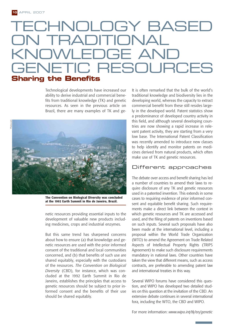# CHNOLOGY BASED OITIOI TWI EDGE AI ETIC RESOURCES **Sharing the Benefits**

Technological developments have increased our ability to derive industrial and commercial benefits from traditional knowledge (TK) and genetic resources. As seen in the previous article on Brazil, there are many examples of TK and ge-



**The Convention on Biological Diversity was concluded at the 1992 Earth Summit in Rio de Janeiro, Brazil.**

netic resources providing essential inputs to the development of valuable new products including medicines, crops and industrial enzymes.

But this same trend has sharpened concerns about how to ensure (a) that knowledge and genetic resources are used with the prior informed consent of the traditional and local communities concerned, and (b) that benefits of such use are shared equitably, especially with the custodians of the resources. *The Convention on Biological Diversity* (CBD), for instance, which was concluded at the 1992 Earth Summit in Rio de Janeiro, establishes the principles that access to genetic resources should be subject to prior informed consent and the benefits of their use should be shared equitably.

It is often remarked that the bulk of the world's traditional knowledge and biodiversity lies in the developing world, whereas the capacity to extract commercial benefit from these still resides largely in the developed world. Patent statistics show a predominance of developed country activity in this field, and although several developing countries are now showing a rapid increase in relevant patent activity, they are starting from a very low base. The International Patent Classification was recently amended to introduce new classes to help identify and monitor patents on medicines derived from natural products, which often make use of TK and genetic resources.

#### Different approaches

The debate over access and benefit sharing has led a number of countries to amend their laws to require disclosure of any TK and genetic resources used in a patented invention. This extends in some cases to requiring evidence of prior informed consent and equitable benefit sharing. Such requirements make a direct link between the context in which genetic resources and TK are accessed and used, and the filing of patents on inventions based on such inputs. Several such proposals have also been made at the international level, including a proposal within the World Trade Organization (WTO) to amend the Agreement on Trade Related Aspects of Intellectual Property Rights (TRIPS Agreement) to make such disclosure requirements mandatory in national laws. Other countries have taken the view that different means, such as access contracts, are preferable to amending patent law and international treaties in this way.

Several WIPO forums have considered this question, and WIPO has developed two detailed studies on this question at the invitation of the CBD. An extensive debate continues in several international fora, including the WTO, the CBD and WIPO.

For more information: *www.wipo.int/tk/en/genetic*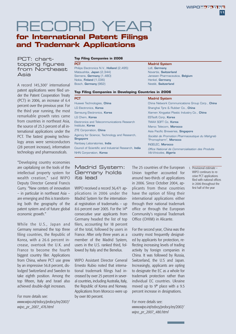## RECORD YEAR **for International Patent Filings**

### **and Trademark Applications**

PCT: charttopping figures from Northeast Asia

A record 145,300<sup>1</sup> international patent applications were filed under the Patent Cooperation Treaty (PCT) in 2006, an increase of 6.4 percent over the previous year. For the third year running, the most remarkable growth rates came from countries in northeast Asia, the source of 25.3 percent of all international applications under the PCT. The fastest growing technology areas were semiconductors (28 percent increase), information technology and pharmaceuticals.

"Developing country economies are capitalizing on the tools of the intellectual property system for wealth creation," said WIPO Deputy Director General Francis Gurry. "New centers of innovation – in particular in northeast Asia – are emerging and this is transforming both the geography of the patent system and of future global economic growth."

While the U.S., Japan and Germany remained the top three filing countries, the Republic of Korea, with a 26.6 percent increase, overtook the U.K. and France to become the fourth biggest country filer. Applications from China, where PCT use grew by an impressive 56.8 percent, dislodged Switzerland and Sweden to take eighth position. Among the top fifteen, Italy and Israel also achieved double-digit increases.

For more details see: *www.wipo.int/edocs/prdocs/en/2007/ wipo\_pr\_2007\_476.html*

#### **Top Filing Companies in 2006**

**PCT**

Philips Electronics N.V., **Holland** (2,495) Matsushita, **Japan** (2,344) Siemens, **Germany** (1,480) Nokia, **Finland** (1,036) Bosch, **Germany** (962)

#### **Madrid System**

Lidl, **Germany** Novartis, **Switzerland** Janssen Pharmaceutica, **Belgium** Henkel, **Germany** Nestlé, **Switzerland**

#### **Top Filing Companies in Developing Countries in 2006**

| <b>PCT</b>                                                       | <b>Madrid System</b>                                                    |  |
|------------------------------------------------------------------|-------------------------------------------------------------------------|--|
| Huawei Technologies, China                                       | China Network Communications Group Corp., China                         |  |
| LG Electronics, Korea                                            | Shanghai Tyre & Rubber Co., China                                       |  |
| Samsung Electronics, Korea                                       | Xiamen Xingyatai Plastic Industry Co., China                            |  |
| LG Chem, Korea                                                   | <b>ESTsoft Corp. Korea</b>                                              |  |
| Electronics and Telecommunications Research<br>Institute, Korea  | <b>TMAX SOFT Co. Korea</b>                                              |  |
|                                                                  | Maroc Telecom, Morocco                                                  |  |
| <b>ZTE Corporation, China</b>                                    | Asia Pacific Breweries, <b>Singapore</b>                                |  |
| Agency for Science, Technology and Research,<br><b>Singapore</b> | Société de Promotion Pharmaceutique du Mahgreb<br>"Promopharm", Morocco |  |
| Ranbaxy Laboratories, India                                      | <b>INGELEC. Morocco</b>                                                 |  |
| Council of Scientific and Industrial Research, <b>India</b>      | Office National de Commercialisation des Produits                       |  |
| NHN Corporation, Korea                                           | <i>Viti-Vinicoles</i> , <b>Algeria</b>                                  |  |

#### Madrid System: Germany holds its lead

WIPO received a record 36,471 applications in 2006 under the Madrid System for the international registration of trademarks – up 8.6 percent over 2005. For the  $14<sup>th</sup>$ consecutive year applicants from Germany headed the list of top filers, accounting for 18 percent of the total, followed by users in France. After only three years as a member of the Madrid System, users in the U.S. ranked third, followed by Italy and the Benelux.

WIPO Assistant Director General Ernesto Rubio noted that international trademark filings had increased by over 25 percent in several countries, including Australia, Italy, the Republic of Korea and Norway. Applications from Morocco were up by over 80 percent.

The 25 countries of the European Union together accounted for around two-thirds of applications in 2006. Since October 2004, applicants from these countries have the option of filing their international applications either through their national trademark office or through the European Community's regional Trademark Office (OHIM) in Alicante.

For the second year, China was the country most frequently designated by applicants for protection, reflecting increasing levels of trading activity by foreign companies in China. It was followed by Russia, Switzerland, the U.S and Japan. Increasingly, applicants are opting to designate the EC as a whole for trademark protection rather than individual EC countries. Ukraine moved up to  $9<sup>th</sup>$  place with a 9.5 percent increase in designations.

For more details see: *www.wipo.int/edocs/prdocs/en/2007/ wipo\_pr\_2007\_480.html*

1. Provisional estimate – WIPO continues to receive PCT applications filed with national offices in 2006 throughout the first half of the year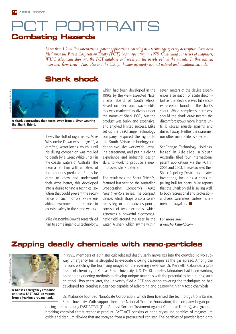## **T PORTRAITS Combating Hazards**

*More than 1.2 million international patent applications, covering new technology of every description, have been filed since the Patent Cooperation Treaty (PCT) began operating in 1978. Continuing our series of snapshots, WIPO Magazine dips into the PCT database and seeks out the people behind the patents. In this edition, innovators from Israel, Australia and the U.S. pit human ingenuity against natural and unnatural hazards.*

### **Shark shock**



**A shark approaches then turns away from a diver wearing the Shark Shield.**

It was the stuff of nightmares. Mike Wescombe-Down was, at age 16, a carefree, water-loving youth, until his diving companion was mauled to death by a Great White Shark in the coastal waters of Australia. The trauma left him with a hatred of the notorious predators. But as he came to know and understand their ways better, this developed into a desire to find a technical solution that could prevent the recurrence of such horrors, while enabling swimmers and sharks to co-exist safely in the same waters.

Mike Wescombe-Down's research led him to some ingenious technology, which had been developed in the 1990s by the well-respected Natal Sharks Board of South Africa. Based on electronic wave-fields, this was marketed to divers under the name of Shark POD, but the product was bulky and expensive, and enjoyed limited success. Mike set up the SeaChange Technology company, acquired the rights to the South African technology under an exclusive worldwide licensing agreement, and put his diving experience and industrial design skills to work to produce a new, improved shark deterrent.

The result was the Shark Shield™, featured last year on the Australian Broadcasting Company's (ABC) *New Inventors* series. The compact device, which straps onto a swimmer's leg, or into a diver's pouch, consists of two electrodes, which generates a powerful electromagnetic field around the user in the water. A shark which swims within seven meters of the device experiences a sensation of acute discomfort as the electric waves hit sensory receptors found on the shark's snout. While completely harmless, should the shark draw nearer, the discomfort grows more intense until it causes muscle spasms and drives it away. Neither the swimmer, nor other marine life, is affected.

SeaChange Technology Holdings, based in Adelaide in South Australia, filed four international patent applications via the PCT in 2002 and 2003. These covered their Shark Repelling Device and related inventions, including a shark-repelling hull for boats. Mike reports that the Shark Shield is selling well, to both recreational and professional divers, swimmers, surfers, fishermen and kayakers.

For more see: *www.sharksheild.com*

## **Zapping deadly chemicals with nano-particles**



**A Kansas emergency response unit tests FAST-ACT on vapors from a leaking propane tank.**

In 1995, members of a sinister cult released deadly sarin nerve gas into the crowded Tokyo subway. Emergency teams struggled to evacuate choking passengers as the gas spread. Among the millions watching the horrifying images on the evening news was Dr. Kenneth Klabunde, a professor of chemistry at Kansas State University, U.S. Dr. Klabunde's laboratory had been working on nano-engineering methods to develop unique materials with the potential to help during such an attack. Two years later, the university filed a PCT application covering the techniques he had developed for creating substances capable of adsorbing and destroying highly toxic chemicals.

Dr. Klabunde founded NanoScale Corporation, which then licensed the technology from Kansas State University. With support from the National Science Foundation, the company began producing and marketing FAST-ACT® (First Applied Sorbent Treatment Against Chemical Threats), as a groundbreaking chemical threat response product. FAST-ACT consists of nano-crystalline particles of magnesium oxide and titanium dioxide that are sprayed from a pressurized canister. The particles of powder latch onto

Aaterials.

Courtesy of SeaChange Technology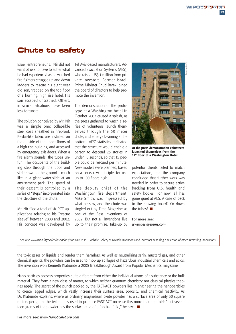### **Chute to safety**

Israeli entrepreneur Eli Nir did not want others to have to suffer what he had experienced as he watched fire-fighters struggle up and down ladders to rescue his eight year old son, trapped on the top floor of a burning, high rise hotel. His son escaped unscathed. Others, in similar situations, have been less fortunate.

The solution conceived by Mr. Nir was a simple one: collapsible steel coils sheathed in fireproof, Kevlar-like fabric are installed on the outside of the upper floors of a high rise building, and accessed by emergency exit doors. When a fire alarm sounds, the tubes unfurl. The occupants of the building step through the door and slide down to the ground – much like in a giant water-slide at an amusement park. The speed of their descent is controlled by a series of "steps" incorporated into the structure of the chute.

Mr. Nir filed a total of six PCT applications relating to his "rescue sleeve" between 2000 and 2002. His concept was developed by Tel Aviv-based manufacturers, Advanced Evacuation Systems (AES), who raised US\$ 1 million from private investors. Former Israeli Prime Minister Ehud Barak joined the board of directors to help promote the invention.

The demonstration of the prototype at a Washington hotel in October 2002 caused a splash, as the press gathered to watch a series of volunteers launch themselves through the 50 meter chute, and emerge beaming at the bottom. AES' statistics indicated that the structure would enable a person to descend 25 stories in under 10 seconds, so that 15 people could be rescued per minute. New models were planned, based on a corkscrew principle, for use up to 100 floors high.

The deputy chief of the Washington fire department, Mike Smith, was impressed by what he saw, and the chute was singled out by Time Magazine as one of the Best Inventions of 2002. But not all inventions live up to their promise. Take-up by



**At the press demonstration volunteers launched themselves from the 11th floor of a Washington Hotel.**

potential clients failed to match expectations, and the company concluded that further work was needed in order to secure active backing from U.S. health and safety bodies. For now, all has gone quiet at AES. A case of back to the drawing board? Or down the tubes?

For more see: *www.aes-systems.com*

See also www.wipo.int/pct/en/inventions/ for WIPO's PCT website Gallery of Notable Inventions and Inventors, featuring a selection of other interesting innovations.

the toxic gases or liquids and render them harmless. As well as neutralizing sarin, mustard gas, and other chemical agents, the powders can be used to mop up spillages of hazardous industrial chemicals and acids. The invention won Kenneth Klabunde a 2005 Breakthrough Award from Popular Mechanics magazine.

Nano particles possess properties quite different from either the individual atoms of a substance or the bulk material. They form a new class of matter, to which neither quantum chemistry nor classical physics theories apply. The secret of the punch packed by the FAST-ACT powders lies in engineering the nanoparticles to create jagged edges, which vastly increase their surface area, porosity, and chemical reactivity. As Dr. Klabunde explains, where as ordinary magnesium oxide powder has a surface area of only 30 square meters per gram, the techniques used to produce FAST-ACT increase this more than ten-fold: "Just seventeen grams of the powder has the surface area of a football field," he says.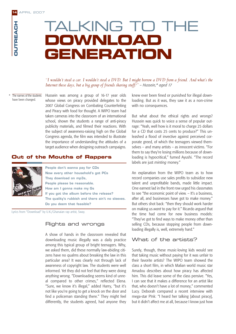# TALKING TO THE **DOWNLOAD GENERATION**

#### *"I wouldn't steal a car. I wouldn't steal a DVD. But I might borrow a DVD from a friend. And what's the Internet these days, but a big group of friends sharing stuff?" – Hussein,\* aged 17*

The names of the students have been changed.

Hussein was among a group of 16-17 year olds whose views on piracy provided delegates to the 2007 Global Congress on Combating Counterfeiting and Piracy with food for thought. A WIPO team had taken cameras into the classroom of an international school, shown the students a range of anti-piracy publicity materials, and filmed their reactions. With the subject of awareness-raising high on the Global Congress agenda, the film was intended to illustrate the importance of understanding the attitudes of a target audience when designing outreach campaigns.

#### **Out of the Mouths of Rappers**



**People don't wanna pay for CDs Now every other household's got PCs They download on mp3s, People please be reasonable. How am I gonna make my Gs If you got the album before the release? The quality's rubbish and there ain't no sleeves. Do you deem that feasible?** 

Lyrics from "Download" by U.K./Ghanaian rap artist, Sway.

#### Rights and wrongs

A show of hands in the classroom revealed that downloading music illegally was a daily practice among this typical group of bright teenagers. Why, we asked them, did these normally law-abiding citizens have no qualms about breaking the law in this particular area? It was clearly not through lack of awareness of copyright law. The students were well informed. Yet they did not feel that they were doing anything wrong. "Downloading seems kind of unreal compared to other crimes," reflected Elena. "Sure, we know it's illegal," added Harry, "but it's not like you're going to get a knock on the door and find a policeman standing there." They might feel differently, the students agreed, had anyone they

knew ever been fined or punished for illegal downloading. But as it was, they saw it as a non-crime with no consequences.

But what about the ethical rights and wrongs? Hussein was quick to voice a sense of popular outrage: "Yeah, well how is it moral to charge 25 dollars for a CD that costs 25 cents to produce?" This unleashed a flood of invective against perceived corporate greed, of which the teenagers viewed themselves – and many artists – as innocent victims. "For them to say they're losing millions because of downloading is hypocritical," fumed Ayushi. "The record labels are just *minting* money."

An explanation from the WIPO team as to how record companies use sales profits to subsidize new talent and unprofitable bands, made little impact. One earnest lad in the front row urged his classmates to see "the economic point of view. – It's a business, after all, and businesses have got to make money." But others shot back: "then they should work harder on making us *want* to pay for it." Ricardo argued that the time had come for new business models: "They've got to find ways to make money other than selling CDs, because stopping people from downloading illegally is, well, extremely hard."

#### What of the artists?

Surely, though, these music-loving kids would see that taking music without paying for it was unfair to their favorite artists? The WIPO team showed the class a short film, in which Malian world music star Amadou describes about how piracy has affected him. This did leave some of the class pensive. "Yes, I can see that it makes a difference for an artist like that, who doesn't have a lot of money," commented Lucy. Deborah compared a recent interview with mega-star P!nk: "I heard her talking [about piracy], but it didn't affect me at all, because I know just how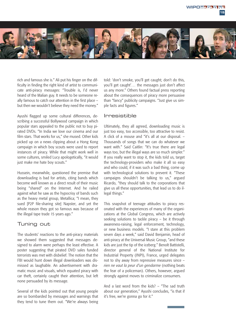

rich and famous she is." Ali put his finger on the difficulty in finding the right kind of artist to communicate anti-piracy messages: "Trouble is, I'd never heard of the Malian guy. It needs to be someone really famous to catch our attention in the first place – but then we wouldn't believe they need the money."

Ayushi flagged up some cultural differences, describing a successful Bollywood campaign in which popular stars appealed to the public not to buy pirated DVDs. "In India we love our cinema and our film stars. That works for us," she mused. Other kids picked up on a news clipping about a Hong Kong campaign in which boy scouts were used to report instances of piracy. While that might work well in some cultures, smiled Lucy apologetically, "it would just make me hate boy scouts."

Hussein, meanwhile, questioned the premise that downloading is bad for artists, citing bands which become well known as a direct result of their music being "shared" on the Internet. And he railed against what he saw as the hypocrisy of bands such as the heavy metal group, Metallica; "I mean, they sued [P2P file-sharing site] Napster, and yet the whole reason they got so famous was because of the illegal tape trade 15 years ago."

#### Tuning out

The students' reactions to the anti-piracy materials we showed them suggested that messages designed to alarm were perhaps the least effective. A poster suggesting that pirated DVD sales funded terrorists was met with disbelief. The notion that the FBI would hunt down illegal downloaders was dismissed as laughable. An advertisement with dramatic music and visuals, which equated piracy with car theft, certainly caught their attention, but left none persuaded by its message.

Several of the kids pointed out that young people are so bombarded by messages and warnings that they tend to tune them out. "We're always being told: 'don't smoke, you'll get caught; don't do this, you'll get caught'… the messages just don't affect us any more." Others found factual press reporting about the consequences of piracy more persuasive than "fancy" publicity campaigns. "Just give us simple facts and figures."

#### Irresistible

Ultimately, they all agreed, downloading music is just too easy, too accessible, too attractive to resist. A click of a mouse and "it's all at our disposal. – Thousands of songs that we can do whatever we want with." Said Caitlin: "It's true there are legal ways too, but the illegal ways are so much simpler." If you really want to stop it, the kids told us, target the technology-providers who make it all so easy and who could, if it was such a bad thing, come up with technological solutions to prevent it. "These campaigns shouldn't be talking to us," argued Ricardo, "they should talk to the corporations that give us all these opportunities, that lead us to do illegal things."

This snapshot of teenage attitudes to piracy resonated with the experiences of many of the organizations at the Global Congress, which are actively seeking solutions to tackle piracy – be it through awareness-raising, legal enforcement, technology, or new business models. "I stare at this problem seven days a week," said David Benjamin, head of anti-piracy at the Universal Music Group, "and these kids are just the tip of the iceberg." Benoît Battistelli, director general of the National Institute for Industrial Property (INPI), France, urged delegates not to shy away from repressive measures since – *rien ne vaut la peur d'un gendarme* (nothing beats the fear of a policeman). Others, however, argued strongly against moves to criminalize consumers.

And a last word from the kids? – "The sad truth about our generation," Ayushi concludes, "is that if it's free, we're gonna go for it."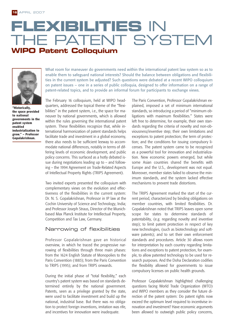# **FLEXIBILITIES** IN THE PATENT SYSTEM **WIPO Patent Colloquium**



**"Historically, the space provided to national governments in the patent system enabled industrialization to grow." – Professor Gopalakrishnan.**

What room for maneuver do governments need within the international patent law system so as to enable them to safeguard national interests? Should the balance between obligations and flexibilities in the current system be adjusted? Such questions were debated at a recent WIPO colloquium on patent issues – one in a series of public colloquia, designed to offer information on a range of patent-related topics, and to provide an informal forum for participants to exchange views.

The February 16 colloquium, held at WIPO headquarters, addressed the topical theme of the "flexibilities" in the patent system, i.e., the space for maneuver by national governments, which is allowed within the rules governing the international patent system. These flexibilities recognize that, while international harmonization of patent standards helps facilitate trade and investment in a global economy, there also needs to be sufficient leeway to accommodate national differences, notably in terms of differing levels of economic development, and public policy concerns. This surfaced as a hotly debated issue during negotiations leading up to – and following – the 1994 Agreement on Trade-Related Aspects of Intellectual Property Rights (TRIPS Agreement).

Two invited experts presented the colloquium with complementary views on the evolution and effectiveness of the flexibilities in the current system: Dr. N. S. Gopalakrishnan, Professor in IP law at the Cochin University of Science and Technology, India; and Professor Joseph Straus, Director of the Munichbased Max Planck Institute for Intellectual Property, Competition and Tax Law, Germany.

#### Narrowing of flexibilities

Professor Gopalakrishnan gave an historical overview, in which he traced the progressive narrowing of flexibilities through three main phases: from the 1624 English Statute of Monopolies to the Paris Convention (1883); from the Paris Convention to TRIPS (1995); and from TRIPS onwards.

During the initial phase of "total flexibility," each country's patent system was based on standards determined entirely by the national government. Patents, seen as a privilege granted by the state, were used to facilitate investment and build up the national, industrial base. But there was no obligation to protect foreign inventions, imitation was rife, and incentives for innovation were inadequate.

The Paris Convention, Professor Gopalakrishnan explained, imposed a set of minimum international standards, so introducing a period of "minimum obligations with maximum flexibilities." States were left free to determine, for example, their own standards regarding the criteria of novelty and non-obviousness/inventive step; their own limitations and exceptions to patent protection; the term of protection; and the conditions for issuing compulsory licenses. The patent system came to be recognized as a powerful tool for innovation and industrialization. New economic powers emerged, but while some Asian countries shared the benefits with Europe and the U.S., development was not equal. Moreover, member states failed to observe the minimum standards, and the system lacked effective mechanisms to prevent trade distortions.

The TRIPS Agreement marked the start of the current period, characterized by binding obligations on member countries, with limited flexibilities. Dr. Gopalakrishnan noted that TRIPS leaves open some scope for states to determine standards of patentability, (e.g. regarding novelty and inventive step); to limit patent protection in respect of key new technologies, (such as biotechnology and software patents); and to set their own enforcement standards and procedures. Article 30 allows room for interpretation by each country regarding limitations and exceptions to patent protection, for example, to allow patented technology to be used for research purposes. And the Doha Declaration codifies the flexibility allowed for governments to issue compulsory licenses on public health grounds.

Professor Gopalakrishnan highlighted challenging questions facing World Trade Organization (WTO) and WIPO members as they consider the future direction of the patent system: Do patent rights now exceed the optimum level required to incentivise innovation and investment? Have economic arguments been allowed to outweigh public policy concerns,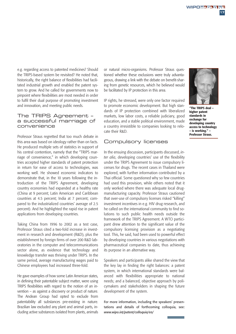e.g. regarding access to patented medicines? Should the TRIPS-based system be revisited? He noted that, historically, the right balance of flexibilities had facilitated industrial growth and enabled the patent system to grow. And he called for governments now to pinpoint where flexibilities are most needed in order to fulfil their dual purpose of promoting investment and innovation, and meeting public needs.

#### The TRIPS Agreement – a successful marriage of convenience

Professor Straus regretted that too much debate in this area was based on ideology rather than on facts. He produced multiple sets of statistics in support of his central contention, namely that the "TRIPS marriage of convenience," in which developing countries accepted higher standards of patent protection in return for ease of access to technologies, was working well. He showed economic indicators to demonstrate that, in the 10 years following the introduction of the TRIPS Agreement, developing country economies had expanded at a healthy rate (China at 9 percent; Latin American and Caribbean countries at 4.5 percent; India at 7 percent; compared to the industrialized countries' average of 2.5 percent). And he highlighted the rapid rise in patent applications from developing countries.

Taking China from 1996 to 2002 as a test case, Professor Straus cited a two-fold increase in investment in research and development (R&D), plus the establishment by foreign firms of over 200 R&D laboratories in the computer and telecommunications sector alone, as evidence that technology and knowledge transfer was thriving under TRIPS. In the same period, average manufacturing wages paid to Chinese employees had increased three-fold.

He gave examples of how some Latin American states, in defining their patentable subject matter, were using TRIPS flexibilities with regard to the notion of an invention – as against a discovery or product of nature. The Andean Group had opted to exclude from patentability all substances pre-existing in nature. Brazilian law excluded any plant and animal parts, including active substances isolated from plants, animals or natural micro-organisms. Professor Straus questioned whether these exclusions were truly advantageous, drawing a link with the debate on benefit-sharing from genetic resources, which he believed would be facilitated by IP protection in this area.

IP rights, he stressed, were only one factor required to promote economic development. But high standards of IP protection combined with liberalized markets, low labor costs, a reliable judiciary, good education, and a stable political environment, made a country irresistible to companies looking to relocate their R&D.

#### Compulsory licenses

In the ensuing discussion, participants discussed, *inter alia*, developing countries' use of the flexibility under the TRIPS Agreement to issue compulsory licenses for drugs. The recent cases in Thailand were explored, with further information contributed by a Thai official. Some questioned why so few countries had used this provision, while others noted that it only worked where there was adequate local drugmanufacturing capacity. Professor Straus cautioned that over-use of compulsory licenses risked "killing" investment incentives in e.g. HIV drug research, and he called on the international community to find solutions to such public health needs outside the framework of the TRIPS Agreement. A WTO participant drew attention to the significant value of the compulsory licensing provision as a negotiating tool. This, he said, had been used to powerful effect by developing countries in various negotiations with pharmaceutical companies to date, thus achieving its purpose in an alternative way.

Speakers and participants alike shared the view that the key lay in finding the right balances: a patent system, in which international standards were balanced with flexibilities appropriate to national needs; and a balanced, objective approach by policymakers and stakeholders in shaping the future development of the system.

For more information, including the speakers' presentations and details of forthcoming colloquia, see: *www.wipo.int/patent/colloquia/en/*



**"The TRIPS deal – higher patent standards in exchange for developing country access to technology – is working." – Professor Straus.**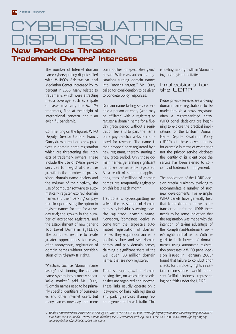## CYBERSQUATTING DISPUTES INCREASE **New Practices Threaten**

### **Trademark Owners' Interests**

The number of Internet domain name cybersquatting disputes filed with WIPO's Arbitration and Mediation Center increased by 25 percent in 2006. Many related to trademarks which were attracting media coverage, such as a spate of cases involving the *Tamiflu* trademark, filed at the height of international concern about an avian flu pandemic.

Commenting on the figures, WIPO Deputy Director General Francis Gurry drew attention to new practices in domain name registration which are threatening the interests of trademark owners. These include the use of *Whois* privacy services for registrations; the growth in the number of professional domain name dealers and the volume of their activity; the use of computer software to automatically register expired domain names and their 'parking' on payper-click portal sites; the option to register names for free for a fiveday trial; the growth in the number of accredited registrars; and the establishment of new generic Top Level Domains (gTLDs). The combined result is to create greater opportunities for mass, often anonymous, registration of domain names without consideration of third-party IP rights.

"Practices such as 'domain name tasting' risk turning the domain name system into a mostly speculative market," said Mr. Gurry. "Domain names used to be primarily specific identifiers of businesses and other Internet users, but many names nowadays are mere commodities for speculative gain," he said. With mass-automated registrations turning domain names into "moving targets," Mr. Gurry called for consideration to be given to concrete policy responses.

Domain name tasting services enable a person or entity (who may be affiliated with a registrar) to register a domain name for a fiveday grace period without a registration fee, and to park the name on a pay-per-click website monitored for revenue. The name is then dropped or re-registered by a new registrant, thereby starting a new grace period. Only those domain names generating significant traffic are permanently registered. As a result of computer applications, tens of millions of domain names are temporarily registered on this basis each month.

Traditionally, cybersquatting involved the registration of domain names by individuals seeking to sell the 'squatted' domain name. Nowadays, 'domainers' derive income from the large-scale automated registration of domain names. They acquire domain name portfolios, buy and sell domain names, and park domain names, claiming a significant share of the well over 100 million domain names that are now registered.

There is a rapid growth of domain parking sites, on which links to other sites are organized and indexed. These links usually operate on a 'pay-per-click' basis with registrants and parking services sharing revenue generated by web traffic. This

is fueling rapid growth in 'domaining' and registrar activities.

#### Implications for the UDRP

*Whois* privacy services are allowing domain name registrations to be made through a proxy registrant, often a registrar-related entity. WIPO panel decisions are beginning to explore the practical implications for the Uniform Domain Name Dispute Resolution Policy (UDRP) of these developments, for example in terms of whether or not the privacy service discloses the identity of its client once the service has been alerted to concerns of trademark infringement.

The application of the UDRP decision criteria is already evolving to accommodate a number of such new developments. For example, WIPO panels have generally held that for a domain name to be transferred under the UDRP, there needs to be some indication that the registration was made with the intention of taking advantage of the complainant-trademark owner's rights in that name. With regard to bulk buyers of domain names using automated registration processes, a WIPO panel decision issued in February 2006<sup>5</sup> found that failure to conduct prior checks for third-party rights in certain circumstances would represent 'willful blindness,' representing bad faith under the UDRP.

<sup>5.</sup> *Mobile Communications Services Inc. v. WebReg* RN, WIPO Case No. D2005-1304, *www.wipo.int/amc/en/domains/decisions/html/2005/d2005- 1304.html*; see also, *Media General Communications, Inc. v. Rarenames, WebReg,* WIPO Case No. D2006-0964, *www.wipo.int/amc/en/ domains/decisions/html/2006/d2006-0964.html*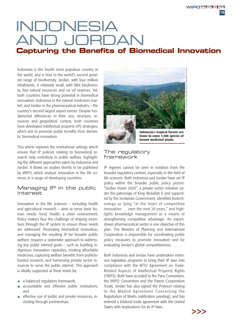# INDONESIA AND JORDAN **Capturing the Benefits of Biomedical Innovation**

Indonesia is the fourth most populous country in the world, and is host to the world's second greatest range of biodiversity. Jordan, with four million inhabitants, is relatively small, with little biodiversity, few natural resources and no oil reserves. Yet, both countries have strong potential in biomedical innovation: Indonesia in the natural medicines market; and Jordan in the pharmaceutical industry – the country's second largest export earner. Despite fundamental differences in their size, structure, resources and geopolitical context, both countries have developed intellectual property (IP) strategies, which aim to promote public benefits from domestic biomedical innovation.

This article explores the institutional settings which ensure that IP policies relating to biomedical research help contribute to public welfare, highlighting the different approaches taken by Indonesia and Jordan. It draws on studies shortly to be published by WIPO, which analyze innovation in the life sciences in a range of developing countries.

#### Managing IP in the public interest

Innovation in the life sciences – including health and agricultural research – aims to serve basic human needs: food, health, a clean environment. Policy makers face the challenge of shaping incentives through the IP system to ensure those needs are addressed. Promoting biomedical innovation, and managing the resulting IP for broader public welfare, requires a systematic approach to addressing key public interest goals – such as building indigenous innovation capacities, creating affordable medicines, capturing welfare benefits from publiclyfunded research, and harnessing private sector resources to serve the public interest. This approach is ideally supported at three levels by:

- a balanced regulatory framework;
- $\overline{\phantom{a}}$ accountable and effective public institutions; and
- $\blacksquare$  effective use of public and private resources, including through partnerships.



**known medicinal plants.**

#### The regulatory framework

IP regimes cannot be seen in isolation from the broader regulatory context, especially in the field of life sciences. Both Indonesia and Jordan have set IP policy within the broader public policy picture. "Jordan Vision 2020", a private sector initiative under the patronage of King Abdullah II and supported by the Jordanian Government, identifies biotechnology as lying "at the heart of competitive innovation … over the next 20 years," and highlights knowledge management as a means of strengthening competitive advantage. An exportdriven pharmaceutical sector is one objective of this plan. The Ministry of Planning and International Cooperation is responsible for coordinating public policy measures to promote innovation and for evaluating Jordan's global competitiveness.

Both Indonesia and Jordan have undertaken extensive legislative programs to bring their IP laws into compliance with the WTO Agreement on Trade-Related Aspects of Intellectual Property Rights (TRIPS). Both have acceded to the Paris Convention, the WIPO Convention and the Patent Cooperation Treaty. Jordan has also signed the Protocol relating to the Madrid Agreement Concerning the Registration of Marks (ratification pending), and has entered a bilateral trade agreement with the United States with implications for its IP laws.

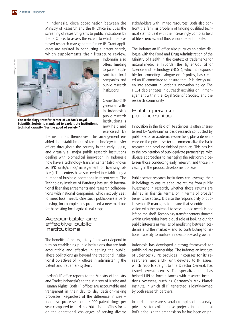In Indonesia, close coordination between the Ministry of Research and the IP Office includes the screening of research grants to public institutions by the IP Office, to assess the extent to which the proposed research may generate future IP. Grant applicants are assisted in conducting a patent search, which supplements their literature review.



**The technology transfer center of Jordan's Royal Scientific Society is mandated to exploit the institution's technical capacity "for the good of society."**

Indonesia also offers funding to patent applicants from local companies and public research institutions.

Ownership of IP generated within Indonesia's public research institutions is now held and exercised by

the institutions themselves. This arrangement enabled the establishment of ten technology transfer offices throughout the country in the early 1990s, and virtually all major public research institutions dealing with biomedical innovation in Indonesia now have a technology transfer center (also known as IPR units/clinics/management or licensing offices). The centers have succeeded in establishing a number of business operations in recent years. The Technology Institute of Bandung has struck international licensing agreements and research collaborations with national companies, which actively seek to meet local needs. One such public-private partnership, for example, has produced a new machine for harvesting local agricultural crops.

#### Accountable and effective public institutions

The benefits of the regulatory framework depend in turn on establishing public institutions that are both accountable and effective in serving the public. These obligations go beyond the traditional institutional objectives of IP offices in administering the patent and trademark system.

Jordan's IP office reports to the Ministry of Industry and Trade; Indonesia's to the Ministry of Justice and Human Rights. Both IP offices are accountable and transparent in their day to day decision-making processes. Regardless of the difference in size – Indonesia processes some 4,000 patent filings per year compared to Jordan's 200 – both offices focus on the operational challenges of serving diverse

stakeholders with limited resources. Both also confront the familiar problem of finding qualified technical staff to deal with the increasingly complex field of life sciences, and thus ensure patent quality.

The Indonesian IP office also pursues an active dialogue with the Food and Drug Administration of the Ministry of Health in the context of trademarks for natural medicine. In Jordan the Higher Council for Science and Technology (HCST), which is responsible for promoting dialogue on IP policy, has created an IP committee to ensure that IP is always taken into account in Jordan's innovation policy. The HCST also engages in outreach activities on IP management within the Royal Scientific Society and the research community.

#### Public-private partnerships

Innovation in the field of life sciences is often characterized by 'upstream' or basic research conducted by public sector or academic researchers, plus a dependence on the private sector to commercialize the basic research and produce finished products. This has led to the proliferation of public-private partnerships, with diverse approaches to managing the relationship between those conducting early research, and those investing in the product development phase.

Public sector research institutions can leverage their IP holdings to ensure adequate returns from public investment in research, whether those returns are defined in financial terms, or in terms of broader benefits for society. It is also the responsibility of public sector IP managers to ensure that scientific innovation with the potential to serve public needs is not left on the shelf. Technology transfer centers situated within universities have a dual role of looking out for public interests as well as of mediating between academia and the market – and so contributing to national capacity to nurture innovation-based growth.

Indonesia has developed a strong framework for public-private partnerships. The Indonesian Institute of Sciences (LIPI) provides IP courses for its researchers, and a LIPI unit devoted to IP issues, which reports straight to the Director General, has issued several licenses. The specialized unit, has helped LIPI to form alliances with research institutions overseas, such as Germany's Max Planck Institute, in which all IP generated is jointly-owned by both research partners.

In Jordan, there are several examples of universityprivate sector collaborative projects in biomedical R&D, although the emphasis so far has been on pri-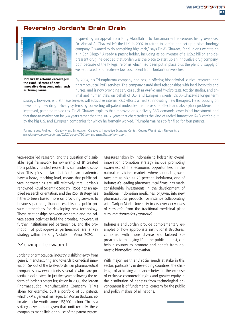#### **Reversing Jordan's Brain Drain**



**Jordan's IP reforms encouraged the establishment of new innovative drug companies, such as Triumpharma.**

Inspired by an appeal from King Abdullah II to Jordanian entrepreneurs living overseas, Dr. Ahmad Al-Ghazawi left the U.K. in 2002 to return to Jordan and set up a biotechnology company. "I wanted to do something high-tech," says Dr. Al-Ghazawi, "and I didn't want to do it in San Diego." Already a patent holder, including as co-inventor of a US\$2 billion anti-depressant drug, he decided that Jordan was the place to start up an innovative drug company, both because of the IP legal reforms which had been put in place plus the plentiful supply of well-educated, and relatively low cost, talent from Jordan's universities.

By 2004, his Triumpharma company had begun offering bioanalytical, clinical research, and pharmaceutical R&D services. The company established relationships with local hospitals and nurses, and is now providing services such as *in-vivo* and *in-vitro* tests, toxicity studies, and animal and human trials on behalf of U.S. and European clients. Dr. Al-Ghazawi's longer term

strategy, however, is that these services will subsidize internal R&D efforts aimed at innovating new therapies. He is focusing on developing new drug delivery systems by converting off-patent molecules that have side effects and absorption problems into improved, patented molecules. Dr. Al-Ghazawi explains that improved drug delivery R&D demands lower initial investment, and that time-to-market can be 3-4 years rather than the 10-12 years that characterizes the kind of radical innovation R&D carried out by the big U.S. and European companies for which he formerly worked. Triumpharma has so far filed for four patents.

For more see: Profiles in Creativity and Innovation, Creative & Innovative Economy Center, George Washington University, at *www.law.gwu.edu/Academics/CIEC/About+CIEC.htm* and *www.Triumpharma.com*

vate-sector led research, and the question of a suitable legal framework for ownership of IP created from publicly funded research is still under discussion. This, plus the fact that Jordanian academics have a heavy teaching load, means that public-private partnerships are still relatively rare. Jordan's renowned Royal Scientific Society (RSS) has an applied research orientation, and the RSS' strategy has hitherto been based more on providing services to business partners, than on establishing public-private partnerships for developing new technology. These relationships between academia and the private sector activities hold the promise, however, of further institutionalized partnerships, and the promotion of public-private partnerships are a key strategy within the King Abdullah II Vision 2020.

#### Moving forward

Jordan's pharmaceutical industry is shifting away from generic manufacturing and towards biomedical innovation. Six out of the twelve Jordanian pharmaceutical companies now own patents, several of which are potential blockbusters. In just five years following the reform of Jordan's patent legislation in 2000, the Jordan Pharmaceutical Manufacturing Company (JPM) alone, for example, built a portfolio of 30 patents, which JPM's general manager, Dr. Adnan Badwan, estimates to be worth some US\$200 million. This is a striking development given that, until recently, these companies made little or no use of the patent system. Measures taken by Indonesia to bolster its overall innovation promotion strategy include promoting awareness of the economic opportunities in the natural medicine market, where annual growth rates are as high as 20 percent. Indofarma, one of Indonesia's leading pharmaceutical firms, has made considerable investments in the development of traditional Indonesian medicines, or *jamu*, into new pharmaceutical products, for instance collaborating with Gadjah Mada University to discover derivatives of *curcumin* from the traditional medicinal plant *curcuma domestica (turmeric)*.

Indonesia and Jordan provide complementary examples of how appropriate institutional structures, combined with more diverse and tailored approaches to managing IP in the public interest, can help a country to promote and benefit from domestic biomedical innovation.

With major health and social needs at stake in this sector, particularly in developing countries, the challenge of achieving a balance between the exercise of exclusive commercial rights and greater equity in the distribution of benefits from technological advancement is of fundamental concern for the public and policy makers of all nations.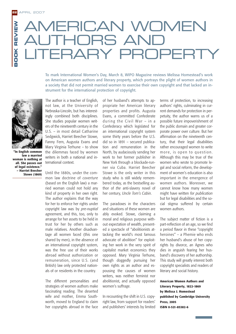## ERICAN WOMEN BOOK REVIEW **BOOK REVIEW HORS ANI** RARY PROPFI

To mark International Women's Day, March 8, WIPO Magazine reviews Melissa Homestead's work on American women authors and literary property, which portrays the plight of women authors in a society that did not permit married women to exercise their own copyright and that lacked an instrument for the international protection of copyright.



**"In English common law a married woman is nothing at all. She passes out of legal existence." – Harriet Beecher Stowe (1869)** 

The author is a teacher of English, not law, at the University of Nebraska-Lincoln, but has interestingly combined both disciplines. She studies popular women writers of the nineteenth century in the U.S. – in most detail Catharine Sedgwick, Harriet Beecher Stowe, Fanny Fern, Augusta Evans and Mary Virginia Terhune – to show the dilemmas faced by women writers in both a national and international context.

Until the 1880s, under the common law doctrine of *coverture* (based on the English law) a married woman could not hold any kind of property in her own right. The author explains that the way for her to enforce her rights under copyright law was by *pre-nuptial* agreement, and this, too, only to arrange for her assets to be held in trust for her by others such as male relatives. Another disadvantage all women faced (this one shared by men), in the absence of an international copyright system, was the free use of their works abroad without authorization or remuneration, since U.S. (and British) law only protected nationals of or residents in the country.

The different personalities and strategies of women authors make fascinating reading. The deserted wife and mother, Emma Southworth, moved to England to claim her copyrights abroad in the face of her husband's attempts to appropriate her American literary properties and profits. Augusta Evans, a committed Confederate during the Civil War – in a Confederacy which legislated for an international copyright system some thirty years before the U.S. did so in 1891 – secured publication and remuneration in the North, by audaciously sending her work to her former publisher in New York through a blockade-runner via Cuba. Harriet Beecher Stowe is the only writer in this study who is still widely remembered today, as the bestselling author of *the* anti-slavery novel of her century, *Uncle Tom's Cabin*.

The paradoxes in the characters and situations of these women are ably evoked. Stowe, claiming a moral and religious purpose without expectation of wealth, presented a spectacle of "abolitionists attacking the world's most famous advocate of abolition" for exploiting her work in the very spirit of capitalist market economics they opposed. Mary Virginia Terhune, though doggedly pursuing her own rights as an author and espousing the causes of women writers, was neither feminist nor abolitionist, and actually opposed women's suffrage.

In recounting the shift in U.S. copyright law, from support for readers' and publishers' interests by limited terms of protection, to increasing authors' rights, culminating in current demands for protection in perpetuity, the author warns us of a possible future impoverishment of the public domain and greater corporate power over culture. But her affirmation on the nineteenth century, that their legal disabilities rather encouraged women to write more, is open to question. Although this may be true of the women who wrote to promote legal and social reform, the development of women's education is also important in the emergence of women authors. Moreover, we cannot know how many women might have written *for publication* but for legal disabilities and the social stigma suffered by certain women authors.

The subject matter of fiction is a part-reflection of an age, so we find a period flavor in these "copyright heroines" – a Phemie who ends her husband's abuse of her copyrights by divorce, an Agnes who dies in anguish fearing her husband's discovery of her authorship. This study will greatly interest both copyright specialists and readers of literary and social history.

**American Women Authors and Literary Property, 1822-1869 by Melissa J. Homestead published by Cambridge University Press, 2005 ISBN 0-521-85382-6**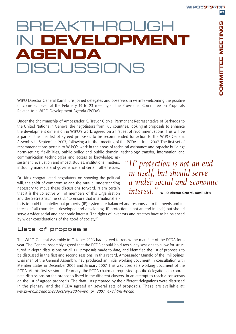**COMMITTEE MEETINGS**

COMMITTEE MEETINGS

**23**

# BREAKTHROUGH IN **DEVELOPMENT AGENDA DISCUSSIONS**

WIPO Director General Kamil Idris joined delegates and observers in warmly welcoming the positive outcome achieved at the February 19 to 23 meeting of the Provisional Committee on Proposals Related to a WIPO Development Agenda (PCDA).

Under the chairmanship of Ambassador C. Trevor Clarke, Permanent Representative of Barbados to the United Nations in Geneva, the negotiators from 105 countries, looking at proposals to enhance the development dimension in WIPO's work, agreed on a first set of recommendations. This will be a part of the final list of agreed proposals to be recommended for action to the WIPO General Assembly in September 2007, following a further meeting of the PCDA in June 2007. The first set of recommendations pertain to WIPO's work in the areas of technical assistance and capacity building; norm-setting, flexibilities, public policy and public domain; technology transfer, information and

communication technologies and access to knowledge; assessment, evaluation and impact studies; institutional matters, including mandate and governance, and certain other issues.

Dr. Idris congratulated negotiators on showing the political will, the spirit of compromise and the mutual understanding necessary to move these discussions forward. "I am certain that it is the collective will of members of this Organization and the Secretariat," he said, "to ensure that international ef*"IP protection is not an end in itself, but should serve a wider social and economic interest."***– WIPO Director General, Kamil Idris**

forts to build the intellectual property (IP) system are balanced and responsive to the needs and interests of all countries – developed and developing. IP protection is not an end in itself, but should serve a wider social and economic interest. The rights of inventors and creators have to be balanced by wider considerations of the good of society."

#### Lists of proposals

The WIPO General Assembly in October 2006 had agreed to renew the mandate of the PCDA for a year. The General Assembly agreed that the PCDA should hold two 5-day sessions to allow for structured in-depth discussions on all 111 proposals made to date, and identified the list of proposals to be discussed in the first and second sessions. In this regard, Ambassador Manalo of the Philippines, Chairman of the General Assembly, had produced an initial working document in consultation with Member States in December 2006 and January 2007. This was used as a working document of the PCDA. At this first session in February, the PCDA chairman requested specific delegations to coordinate discussions on the proposals listed in the different clusters, in an attempt to reach a consensus on the list of agreed proposals. The draft lists prepared by the different delegations were discussed in the plenary, and the PCDA agreed on several sets of proposals. These are available at: *www.wipo.int/edocs/prdocs/en/2007/wipo\_pr\_2007\_478*.*html #pcda*.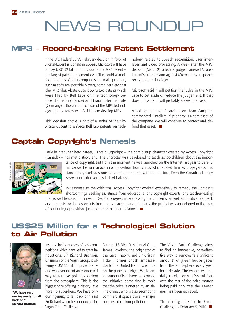# NEWS ROUNDUP

### **MP3 – Record-breaking Patent Settlement**

If the U.S. Federal Jury's February decision in favor of Alcatel-Lucent is upheld in appeal, Microsoft will have to pay US\$1.52 billion for its use of the MP3 patent – the largest patent judgement ever. This could also effect hundreds of other companies that make products, such as software, portable players, computers, etc, that play MP3 files. Alcatel-Lucent owns two patents which were filed by Bell Labs on the technology before Thomson (France) and Fraunhofer Institute (Germany) – the current licensor of the MP3 technology – joined forces with Bell Labs to develop MP3.

This decision above is part of a series of trials by Alcatel-Lucent to enforce Bell Lab patents on technology related to speech recognition, user interfaces and video processing. A week after the MP3 decision (March 2), a federal judge dismissed Alcatel-Lucent's patent claim against Microsoft over speech recognition technology.

Microsoft said it will petition the judge in the MP3 case to set aside or reduce the judgement. If that does not work, it will probably appeal the case.

A pokesperson for Alcatel-Lucent Jean Campion commented, "Intellectual property is a core asset of the company. We will continue to protect and defend that asset." $\blacksquare$ 

## **Captain Copyright's Nemesis**

Early in his super hero career, Captain Copyright – the comic strip character created by Access Copyright



(Canada) – has met a sticky end. The character was developed to teach schoolchildren about the importance of copyright, but from the moment he was launched on the Internet last year to defend his cause, he ran smack into opposition from critics who labeled him as propaganda. His stance, they said, was one-sided and did not show the full picture. Even the Canadian Library Association criticized his lack of balance.

In response to the criticisms, Access Copyright worked extensively to remedy the Captain's shortcomings, seeking assistance from educational and copyright experts, and teacher-testing the revised lessons. But in vain. Despite progress in addressing the concerns, as well as positive feedback

and requests for the lesson kits from many teachers and librarians, the project was abandoned in the face of continuing opposition, just eight months after its launch.

### **US\$25 Million for a Technological Solution to Air Pollution**





**"We have only our ingenuity to fall back on." Richard Branson**

Inspired by the success of past competitions which have led to great innovations, Sir Richard Branson, Chairman of the Virgin Group, is offering a US\$25 million prize to anyone who can invent an economical way to remove polluting carbon from the atmosphere. This is the biggest prize offering in history. "We have no super-hero. We have only our ingenuity to fall back on," said Sir Richard when he announced the Virgin Earth Challenge.

Former U.S. Vice-President Al Gore, James Lovelock, the originator of the Gaia Theory, and Sir Crispin Tickell, former British ambassador to the United Nations, will be on the panel of judges. While environmentalists have welcomed the initiative, some find it ironic that the prize is offered by an airline owner, who is also promoting commercial space travel – major sources of carbon pollution.

The Virgin Earth Challenge aims to find an innovative, cost-effective way to remove "a significant amount" of green house gases from the atmosphere every year for a decade. The winner will initially receive only US\$5 million. with the rest of the prize money being paid only after the 10-year goal has been achieved.

The closing date for the Earth Challenge is February 9, 2010. ■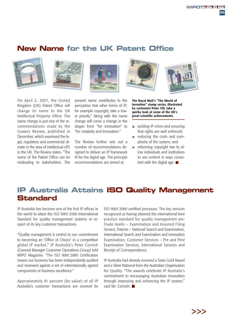## **New Name for the UK Patent Office**











On April 2, 2007, the United Kingdom (UK) Patent Office will change its name to the UK Intellectual Property Office. The name change is just one of the recommendations made by the Gowers Review, published in December, which examined the legal, regulatory and commercial climate in the area of intellectual (IP) in the UK. The Review states: "The name of the Patent Office can be misleading to stakeholders. The

present name contributes to the perception that other forms of IP, for example copyright, take a lower priority." Along with the name change will come a change in the slogan from "for innovation" to "for creativity and innovation."

The Review further sets out a number of recommendations designed to deliver an IP framework fit for the digital age. The principle recommendations are aimed at:

**The Royal Mail's "The World of Invention" stamp series, illustrated by cartoonist Peter Till, take a quirky look at some of the UK's great scientific achievements.**

- tackling IP crime and ensuring that rights are well enforced;
- reducing the costs and complexity of the system; and
- $\mathbb{R}^2$ reforming copyright law to allow individuals and institutions to use content in ways consistent with the digital age.

## **IP Australia Attains ISO Quality Management Standard**

IP Australia has become one of the first IP offices in the world to attain the ISO 9001:2000 International Standard for quality management systems in respect of its key customer transactions.

"Quality management is central to our commitment to becoming an 'Office of Choice' in a competitive global IP market," IP Australia's Peter Cornish (General Manager Customer Operations Group) told WIPO Magazine. "The ISO 9001:2000 Certification means our business has been independently audited and reviewed against a set of internationally agreed components of business excellence."

Approximately 91 percent (by value) of all IP Australia's customer transactions are covered by ISO 9001:2000 certified processes. The key services recognized as having attained the international best practice standard for quality management are: Trade marks – Examination and Assisted Filing Service; Patents – National Search and Examination, International Search and Examination and Innovation Examination; Customer Services – Pre and Post Examination Services, International Services and Receipt of Correspondence.

IP Australia had already received a State Gold Award and a Silver National from the Australian Organisation for Quality. "The awards celebrate IP Australia's commitment to encouraging Australian innovation through improving and enhancing the IP system," said Mr. Cornish.

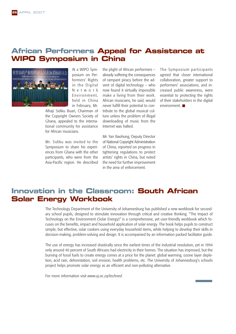### **African Performers Appeal for Assistance at WIPO Symposium in China**



At a WIPO Symposium on Performers' Rights in the Digital Network Environment, held in China in February, Mr.

Alhaji Sidiku Buari, Chairman of the Copyright Owners Society of Ghana, appealed to the international community for assistance for African musicians.

Mr. Sidiku was invited to the Symposium to share his experiences from Ghana with the other participants, who were from the Asia-Pacific region. He described

the plight of African performers – already suffering the consequences of rampant piracy before the advent of digital technology – who now found it virtually impossible make a living from their work. African musicians, he said, would never fulfill their potential to contribute to the global musical culture unless the problem of illegal downloading of music from the Internet was halted.

Mr. Yan Xiaohong, Deputy Director of National Copyright Administration of China, reported on progress in tightening regulations to protect artists' rights in China, but noted the need for further improvement in the area of enforcement.

The Symposium participants agreed that closer international collaboration, greater support to performers' associations, and increased public awareness, were essential to protecting the rights of their stakeholders in the digital environment.

### **Innovation in the Classroom: South African Solar Energy Workbook**

The Technology Department of the University of Johannesburg has published a new workbook for secondary school pupils, designed to stimulate innovation through critical and creative thinking. "The Impact of Technology on the Environment (Solar Energy)" is a comprehensive, yet user-friendly workbook which focuses on the benefits, impact and household application of solar energy. The book helps pupils to construct simple, but effective, solar cookers using everyday household items, while helping to develop their skills in decision-making, problem-solving and design. It is accompanied by an information packed facilitator guide.

The use of energy has increased drastically since the earliest times of the industrial revolution, yet in 1994 only around 40 percent of South Africans had electricity in their homes. The situation has improved, but the burning of fossil fuels to create energy comes at a price for the planet: global warming, ozone layer depletion, acid rain, deforestation, soil erosion, health problems, etc. The University of Johannesburg's schools project helps promote solar energy as an efficient and non-polluting alternative.

For more information visit *www.uj.ac.za/techned*.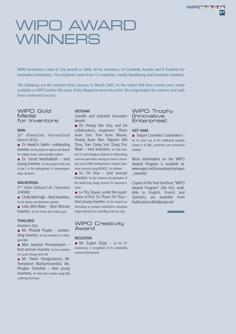# WIPO AWARD **WINNERS**

WIPO bestowed a total of 138 awards in 2006: 96 for inventors, 34 Creativity Awards and 8 Trophies for Innovative Enterprises. The recipients came from 111 countries, mostly developing and transition countries.

The following are the winners from January to March 2007, to the extent that their names were made available to WIPO before this issue of the Magazine went into print. We congratulate the winners and wish them continued success.

#### WIPO Gold **Medal** for Inventors

#### IRAN

*20th Khwarizmi International Award (KIA):*

■ Dr. Jawad A. Salehi – outstanding inventor, for his project on optical code division for multiple access communication systems

Dr. Farsid Noorbakhsh – best young inventor, for his project on the role of par-2 in the pathogenesis of neurodegenerative disorders

#### MAURITANIA

*4ème Salon National de l'invention (SANIM):*

 $\blacksquare$  Chrifa Mint Adje – Best Invention, for his dietary anti-diarrhoeic powder

■ Leila Mint Babe – Best Woman Inventor, for her honey from Arabic gum

#### THAILAND

*Inventor's Day:*

Mr. Pholsak Piyatat – outstanding inventor, for his invention of a biological filter

Miss Janpoyn Promprayoon – best woman inventor, for her invention of a quick change wrist unit

Mr. Pawin Hongprayoon, Mr. Teerawoot Martjumroonkul, Ms. Ponglux Tiamdow – best young inventors, for their dust monitor using light scattering technique

#### VIETNAM

*Scientific and Industrial Innovation Awards:*

Dr. Hoang Van Quy, and his collaborators, engineers: Pham Xuan Son, Tran Xuan Nhuan, Hoang Xuan Ban, Nguyen Nhi Thuy, Tran Giang Son, Dang Duc Nhan – best invention, for their research on technological solutions for determining reservoir parameters aiming at reserves calculation and oil field development in fracture basement reservoir using BASROC 3.0 software

■ Vu Thi Hoa – best woman inventor, for her research and application of the whole-lung lavage process for pneumoconiosis

■ Le Thy Quyen, under the supervision of Prof. Dr. Pham Thi Thuy – best young inventor, for his research on technology to produce metarhizium anisopliae fungus biomass for controlling insect on crop



#### MOLDOVA

**Mr.** Eugen Doga – on his  $70<sup>th</sup>$ Anniversary, in recognition of his outstanding musical achievements

#### WIPO Trophy **(Innovative** Enterprise)

#### VIET NAM

■ Saigon Cosmetics Corporation – for its active use of the intellectual property system in its R&D, production and commercial activities

More information on the WIPO Awards Program is available at: *www.wipo.int/innovation/en/wipo \_awards/*.

Copies of the free brochure "WIPO Awards Program" (No 923, available in English, French and Spanish), are available from *Publications.Mail@wipo.int*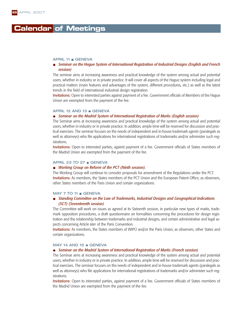#### APRIL 11 GENEVA

#### *Seminar on the Hague System of International Registration of Industrial Designs (English and French session)*

The seminar aims at increasing awareness and practical knowledge of the system among actual and potential users, whether in industry or in private practice. It will cover all aspects of the Hague system including legal and practical matters (main features and advantages of the system, different procedures, etc.) as well as the latest trends in the field of international industrial design registration.

Invitations: Open to interested parties against payment of a fee. Government officials of Members of the Hague Union are exempted from the payment of the fee.

#### APRIL 12 AND 13 GENEVA

#### *Seminar on the Madrid System of International Registration of Marks (English session)*

The Seminar aims at increasing awareness and practical knowledge of the system among actual and potential users, whether in industry or in private practice. In addition, ample time will be reserved for discussion and practical exercises. The seminar focuses on the needs of independent and in-house trademark agents (paralegals as well as attorneys) who file applications for international registrations of trademarks and/or administer such registrations.

Invitations: Open to interested parties, against payment of a fee. Government officials of States members of the Madrid Union are exempted from the payment of the fee.

#### APRIL 23 TO 27 GENEVA

#### *Working Group on Reform of the PCT (Ninth session).*

The Working Group will continue to consider proposals for amendment of the Regulations under the PCT. Invitations: As members, the States members of the PCT Union and the European Patent Office; as observers, other States members of the Paris Union and certain organizations.

#### MAY 7 TO 11 GENEVA

#### *Standing Committee on the Law of Trademarks, Industrial Designs and Geographical Indications (SCT) (Seventeenth session)*

The Committee will work on issues as agreed at its Sixteenth session, in particular new types of marks, trademark opposition procedures, a draft questionnaire on formalities concerning the procedures for design registration and the relationship between trademarks and industrial designs, and certain administrative and legal aspects concerning Article 6*ter* of the Paris Convention.

Invitations: As members, the States members of WIPO and/or the Paris Union; as observers, other States and certain organizations.

#### MAY 14 AND 15 GENEVA

#### *Seminar on the Madrid System of International Registration of Marks (French session)*

The Seminar aims at increasing awareness and practical knowledge of the system among actual and potential users, whether in industry or in private practice. In addition, ample time will be reserved for discussion and practical exercises. The seminar focuses on the needs of independent and in-house trademark agents (paralegals as well as attorneys) who file applications for international registrations of trademarks and/or administer such registrations.

Invitations: Open to interested parties, against payment of a fee. Government officials of States members of the Madrid Union are exempted from the payment of the fee.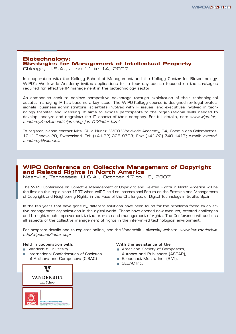#### **Biotechnology: Strategies for Management of Intellectual Property**

Chicago, U.S.A., June 11 to 14, 2007

In cooperation with the Kellogg School of Management and the Kellogg Center for Biotechnology, WIPO's Worldwide Academy invites applications for a four day course focused on the strategies required for effective IP management in the biotechnology sector.

As companies seek to achieve competitive advantage through exploitation of their technological assets, managing IP has become a key issue. The WIPO-Kellogg course is designed for legal professionals, business administrators, scientists involved with IP issues, and executives involved in technology transfer and licensing. It aims to expose participants to the organizational skills needed to develop, analyze and negotiate the IP assets of their company. For full details, see: *www.wipo.int/ academy/en/execed/sipm/chg\_jun\_07/index.html*.

To register, please contact Mrs. Silvia Nunez, WIPO Worldwide Academy, 34, Chemin des Colombettes, 1211 Geneva 20, Switzerland. Tel: (+41-22) 338 9703; Fax: (+41-22) 740 1417; e-mail: *execed. academy@wipo.int*.

#### **WIPO Conference on Collective Management of Copyright and Related Rights in North America**

Nashville, Tennessee, U.S.A., October 17 to 19, 2007

The WIPO Conference on Collective Management of Copyright and Related Rights in North America will be the first on this topic since 1997 when WIPO held an International Forum on the Exercise and Management of Copyright and Neighboring Rights in the Face of the Challenges of Digital Technology in Sevilla, Spain.

In the ten years that have gone by, different solutions have been found for the problems faced by collective management organizations in the digital world. These have opened new avenues, created challenges and brought much improvement to the exercise and management of rights. The Conference will address all aspects of the collective management of rights in the inter-linked technological environment.

For program details and to register online, see the Vanderbilt University website: *www.law.vanderbilt. edu/wipoconf/index.aspx*

#### **Held in cooperation with:**

- **Nanderbilt University**
- **International Confederation of Societies** of Authors and Composers (CISAC)



- American Society of Composers, Authors and Publishers (ASCAP),
- Broadcast Music, Inc. (BMI),
- SESAC Inc.



63